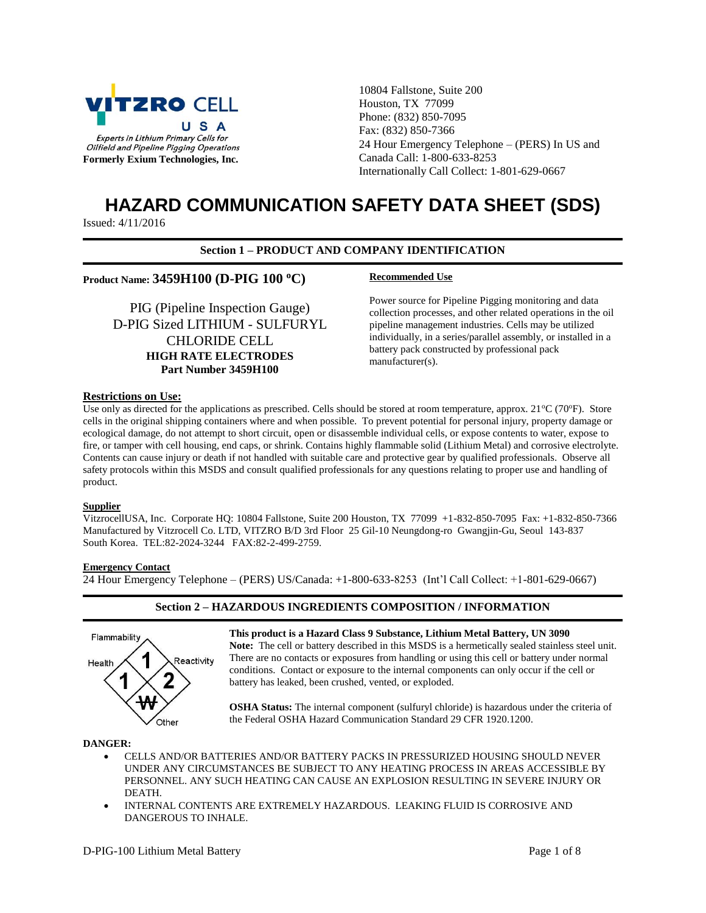

10804 Fallstone, Suite 200 Houston, TX 77099 Phone: (832) 850-7095 Fax: (832) 850-7366 24 Hour Emergency Telephone – (PERS) In US and Canada Call: 1-800-633-8253 Internationally Call Collect: 1-801-629-0667

# **HAZARD COMMUNICATION SAFETY DATA SHEET (SDS)**

Issued: 4/11/2016

# **Section 1 – PRODUCT AND COMPANY IDENTIFICATION**

# **Product Name: 3459H100 (D-PIG 100 <sup>o</sup>C) Recommended Use**

PIG (Pipeline Inspection Gauge) D-PIG Sized LITHIUM - SULFURYL CHLORIDE CELL **HIGH RATE ELECTRODES Part Number 3459H100**

Power source for Pipeline Pigging monitoring and data collection processes, and other related operations in the oil pipeline management industries. Cells may be utilized individually, in a series/parallel assembly, or installed in a battery pack constructed by professional pack manufacturer(s).

# **Restrictions on Use:**

Use only as directed for the applications as prescribed. Cells should be stored at room temperature, approx.  $21^{\circ}C(70^{\circ}F)$ . Store cells in the original shipping containers where and when possible. To prevent potential for personal injury, property damage or ecological damage, do not attempt to short circuit, open or disassemble individual cells, or expose contents to water, expose to fire, or tamper with cell housing, end caps, or shrink. Contains highly flammable solid (Lithium Metal) and corrosive electrolyte. Contents can cause injury or death if not handled with suitable care and protective gear by qualified professionals. Observe all safety protocols within this MSDS and consult qualified professionals for any questions relating to proper use and handling of product.

# **Supplier**

VitzrocellUSA, Inc. Corporate HQ: 10804 Fallstone, Suite 200 Houston, TX 77099 +1-832-850-7095 Fax: +1-832-850-7366 Manufactured by Vitzrocell Co. LTD, VITZRO B/D 3rd Floor 25 Gil-10 Neungdong-ro Gwangjin-Gu, Seoul 143-837 South Korea. TEL:82-2024-3244 FAX:82-2-499-2759.

# **Emergency Contact**

24 Hour Emergency Telephone – (PERS) US/Canada: +1-800-633-8253 (Int'l Call Collect: +1-801-629-0667)

# **Section 2 – HAZARDOUS INGREDIENTS COMPOSITION / INFORMATION**



**This product is a Hazard Class 9 Substance, Lithium Metal Battery, UN 3090**

**Note:** The cell or battery described in this MSDS is a hermetically sealed stainless steel unit. There are no contacts or exposures from handling or using this cell or battery under normal conditions. Contact or exposure to the internal components can only occur if the cell or battery has leaked, been crushed, vented, or exploded.

**OSHA Status:** The internal component (sulfuryl chloride) is hazardous under the criteria of the Federal OSHA Hazard Communication Standard 29 CFR 1920.1200.

#### **DANGER:**

- CELLS AND/OR BATTERIES AND/OR BATTERY PACKS IN PRESSURIZED HOUSING SHOULD NEVER UNDER ANY CIRCUMSTANCES BE SUBJECT TO ANY HEATING PROCESS IN AREAS ACCESSIBLE BY PERSONNEL. ANY SUCH HEATING CAN CAUSE AN EXPLOSION RESULTING IN SEVERE INJURY OR DEATH.
- INTERNAL CONTENTS ARE EXTREMELY HAZARDOUS. LEAKING FLUID IS CORROSIVE AND DANGEROUS TO INHALE.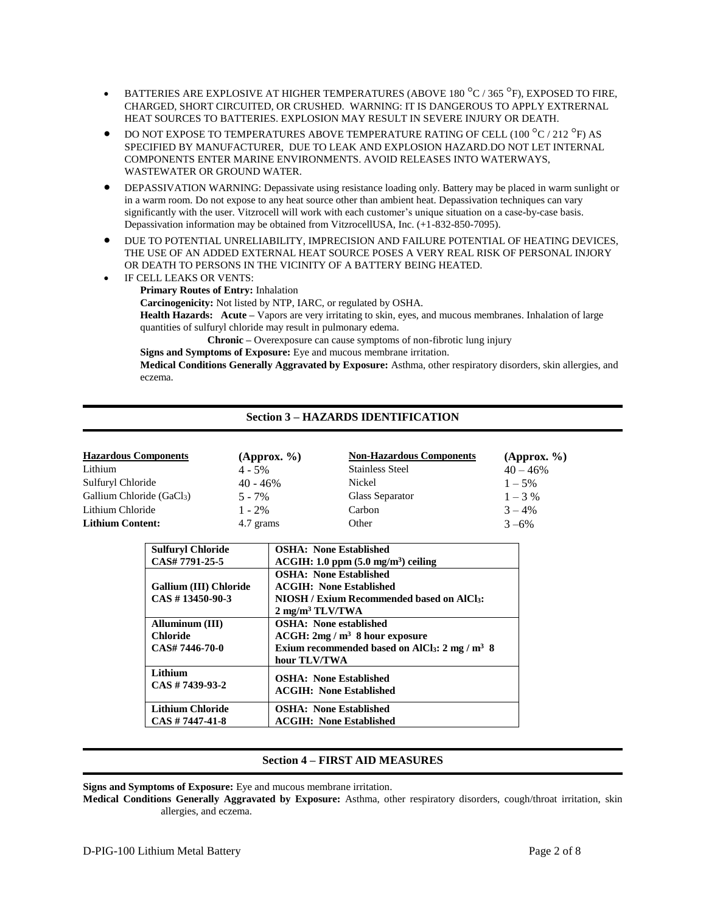- **BATTERIES ARE EXPLOSIVE AT HIGHER TEMPERATURES (ABOVE 180 °C / 365 °F), EXPOSED TO FIRE,** CHARGED, SHORT CIRCUITED, OR CRUSHED. WARNING: IT IS DANGEROUS TO APPLY EXTRERNAL HEAT SOURCES TO BATTERIES. EXPLOSION MAY RESULT IN SEVERE INJURY OR DEATH.
- DO NOT EXPOSE TO TEMPERATURES ABOVE TEMPERATURE RATING OF CELL (100  $^{\circ}$ C / 212  $^{\circ}$ F) AS SPECIFIED BY MANUFACTURER, DUE TO LEAK AND EXPLOSION HAZARD.DO NOT LET INTERNAL COMPONENTS ENTER MARINE ENVIRONMENTS. AVOID RELEASES INTO WATERWAYS, WASTEWATER OR GROUND WATER.
- DEPASSIVATION WARNING: Depassivate using resistance loading only. Battery may be placed in warm sunlight or in a warm room. Do not expose to any heat source other than ambient heat. Depassivation techniques can vary significantly with the user. Vitzrocell will work with each customer's unique situation on a case-by-case basis. Depassivation information may be obtained from VitzrocellUSA, Inc. (+1-832-850-7095).
- DUE TO POTENTIAL UNRELIABILITY, IMPRECISION AND FAILURE POTENTIAL OF HEATING DEVICES, THE USE OF AN ADDED EXTERNAL HEAT SOURCE POSES A VERY REAL RISK OF PERSONAL INJORY OR DEATH TO PERSONS IN THE VICINITY OF A BATTERY BEING HEATED.
- IF CELL LEAKS OR VENTS: **Primary Routes of Entry:** Inhalation **Carcinogenicity:** Not listed by NTP, IARC, or regulated by OSHA. **Health Hazards: Acute –** Vapors are very irritating to skin, eyes, and mucous membranes. Inhalation of large quantities of sulfuryl chloride may result in pulmonary edema. **Chronic –** Overexposure can cause symptoms of non-fibrotic lung injury

**Signs and Symptoms of Exposure:** Eye and mucous membrane irritation.

**Medical Conditions Generally Aggravated by Exposure:** Asthma, other respiratory disorders, skin allergies, and eczema.

# **Section 3 – HAZARDS IDENTIFICATION**

| <b>Hazardous Components</b> | (Approx. % | <b>Non-Hazardous Components</b> | (Approx. % |
|-----------------------------|------------|---------------------------------|------------|
| Lithium                     | $4 - 5\%$  | <b>Stainless Steel</b>          | $40 - 46%$ |
| Sulfuryl Chloride           | $40 - 46%$ | Nickel                          | $1 - 5\%$  |
| Gallium Chloride (GaCl3)    | $5 - 7\%$  | Glass Separator                 | $1 - 3\%$  |
| Lithium Chloride            | $1 - 2\%$  | Carbon                          | $3 - 4\%$  |
| <b>Lithium Content:</b>     | 4.7 grams  | Other                           | $3 - 6\%$  |

| <b>Sulfuryl Chloride</b> | <b>OSHA: None Established</b>                                                 |
|--------------------------|-------------------------------------------------------------------------------|
| CAS# 7791-25-5           | $ACGIH: 1.0$ ppm $(5.0$ mg/m <sup>3</sup> ) ceiling                           |
|                          | <b>OSHA: None Established</b>                                                 |
| Gallium (III) Chloride   | <b>ACGIH:</b> None Established                                                |
| $CAS \# 13450 - 90 - 3$  | <b>NIOSH / Exium Recommended based on AICI3:</b>                              |
|                          | $2 \text{ mg/m}^3 \text{TLV/TWA}$                                             |
| Alluminum (III)          | <b>OSHA</b> : None established                                                |
| <b>Chloride</b>          | $ACGH: 2mg/m3$ 8 hour exposure                                                |
| CAS# 7446-70-0           | Exium recommended based on AlCl <sub>3</sub> : $2 \text{ mg } / \text{m}^3$ 8 |
|                          | hour TLV/TWA                                                                  |
| Lithium                  | <b>OSHA: None Established</b>                                                 |
| $CAS \# 7439-93-2$       | <b>ACGIH:</b> None Established                                                |
|                          |                                                                               |
| <b>Lithium Chloride</b>  | <b>OSHA: None Established</b>                                                 |
| $CAS \# 7447 - 41 - 8$   | <b>ACGIH: None Established</b>                                                |

# **Section 4 – FIRST AID MEASURES**

**Signs and Symptoms of Exposure:** Eye and mucous membrane irritation.

**Medical Conditions Generally Aggravated by Exposure:** Asthma, other respiratory disorders, cough/throat irritation, skin allergies, and eczema.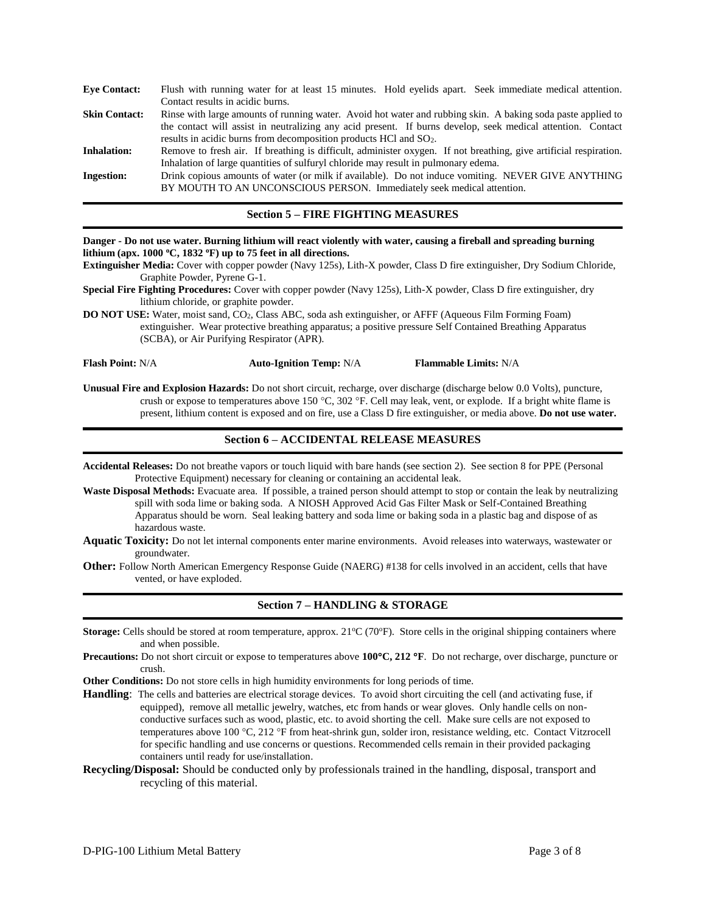| <b>Eve Contact:</b>  | Flush with running water for at least 15 minutes. Hold evelids apart. Seek immediate medical attention.           |
|----------------------|-------------------------------------------------------------------------------------------------------------------|
|                      | Contact results in acidic burns.                                                                                  |
| <b>Skin Contact:</b> | Rinse with large amounts of running water. Avoid hot water and rubbing skin. A baking soda paste applied to       |
|                      | the contact will assist in neutralizing any acid present. If burns develop, seek medical attention. Contact       |
|                      | results in acidic burns from decomposition products HCl and $SO_2$ .                                              |
| <b>Inhalation:</b>   | Remove to fresh air. If breathing is difficult, administer oxygen. If not breathing, give artificial respiration. |
|                      | Inhalation of large quantities of sulfuryl chloride may result in pulmonary edema.                                |
| <b>Ingestion:</b>    | Drink copious amounts of water (or milk if available). Do not induce vomiting. NEVER GIVE ANYTHING                |
|                      | BY MOUTH TO AN UNCONSCIOUS PERSON. Immediately seek medical attention.                                            |
|                      |                                                                                                                   |

#### **Section 5 – FIRE FIGHTING MEASURES**

| Danger - Do not use water. Burning lithium will react violently with water, causing a fireball and spreading burning<br>lithium (apx. $1000$ °C, $1832$ °F) up to 75 feet in all directions.<br>Extinguisher Media: Cover with copper powder (Navy 125s), Lith-X powder, Class D fire extinguisher, Dry Sodium Chloride,<br>Graphite Powder, Pyrene G-1.<br>Special Fire Fighting Procedures: Cover with copper powder (Navy 125s), Lith-X powder, Class D fire extinguisher, dry<br>lithium chloride, or graphite powder.<br>DO NOT USE: Water, moist sand, CO <sub>2</sub> , Class ABC, soda ash extinguisher, or AFFF (Aqueous Film Forming Foam)<br>extinguisher. Wear protective breathing apparatus; a positive pressure Self Contained Breathing Apparatus<br>(SCBA), or Air Purifying Respirator (APR).<br><b>Flash Point: N/A</b><br><b>Auto-Ignition Temp: N/A</b><br><b>Flammable Limits: N/A</b><br>Unusual Fire and Explosion Hazards: Do not short circuit, recharge, over discharge (discharge below 0.0 Volts), puncture,<br>crush or expose to temperatures above 150 °C, 302 °F. Cell may leak, vent, or explode. If a bright white flame is<br>present, lithium content is exposed and on fire, use a Class D fire extinguisher, or media above. Do not use water.<br><b>Section 6 - ACCIDENTAL RELEASE MEASURES</b><br>Accidental Releases: Do not breathe vapors or touch liquid with bare hands (see section 2). See section 8 for PPE (Personal<br>Protective Equipment) necessary for cleaning or containing an accidental leak.<br>Waste Disposal Methods: Evacuate area. If possible, a trained person should attempt to stop or contain the leak by neutralizing<br>spill with soda lime or baking soda. A NIOSH Approved Acid Gas Filter Mask or Self-Contained Breathing<br>Apparatus should be worn. Seal leaking battery and soda lime or baking soda in a plastic bag and dispose of as<br>hazardous waste.<br>Aquatic Toxicity: Do not let internal components enter marine environments. Avoid releases into waterways, wastewater or<br>groundwater.<br><b>Other:</b> Follow North American Emergency Response Guide (NAERG) #138 for cells involved in an accident, cells that have<br>vented, or have exploded. |  |  |  |
|------------------------------------------------------------------------------------------------------------------------------------------------------------------------------------------------------------------------------------------------------------------------------------------------------------------------------------------------------------------------------------------------------------------------------------------------------------------------------------------------------------------------------------------------------------------------------------------------------------------------------------------------------------------------------------------------------------------------------------------------------------------------------------------------------------------------------------------------------------------------------------------------------------------------------------------------------------------------------------------------------------------------------------------------------------------------------------------------------------------------------------------------------------------------------------------------------------------------------------------------------------------------------------------------------------------------------------------------------------------------------------------------------------------------------------------------------------------------------------------------------------------------------------------------------------------------------------------------------------------------------------------------------------------------------------------------------------------------------------------------------------------------------------------------------------------------------------------------------------------------------------------------------------------------------------------------------------------------------------------------------------------------------------------------------------------------------------------------------------------------------------------------------------------------------------------------------------------------------------------------------|--|--|--|
|                                                                                                                                                                                                                                                                                                                                                                                                                                                                                                                                                                                                                                                                                                                                                                                                                                                                                                                                                                                                                                                                                                                                                                                                                                                                                                                                                                                                                                                                                                                                                                                                                                                                                                                                                                                                                                                                                                                                                                                                                                                                                                                                                                                                                                                      |  |  |  |
|                                                                                                                                                                                                                                                                                                                                                                                                                                                                                                                                                                                                                                                                                                                                                                                                                                                                                                                                                                                                                                                                                                                                                                                                                                                                                                                                                                                                                                                                                                                                                                                                                                                                                                                                                                                                                                                                                                                                                                                                                                                                                                                                                                                                                                                      |  |  |  |
|                                                                                                                                                                                                                                                                                                                                                                                                                                                                                                                                                                                                                                                                                                                                                                                                                                                                                                                                                                                                                                                                                                                                                                                                                                                                                                                                                                                                                                                                                                                                                                                                                                                                                                                                                                                                                                                                                                                                                                                                                                                                                                                                                                                                                                                      |  |  |  |
|                                                                                                                                                                                                                                                                                                                                                                                                                                                                                                                                                                                                                                                                                                                                                                                                                                                                                                                                                                                                                                                                                                                                                                                                                                                                                                                                                                                                                                                                                                                                                                                                                                                                                                                                                                                                                                                                                                                                                                                                                                                                                                                                                                                                                                                      |  |  |  |
|                                                                                                                                                                                                                                                                                                                                                                                                                                                                                                                                                                                                                                                                                                                                                                                                                                                                                                                                                                                                                                                                                                                                                                                                                                                                                                                                                                                                                                                                                                                                                                                                                                                                                                                                                                                                                                                                                                                                                                                                                                                                                                                                                                                                                                                      |  |  |  |
|                                                                                                                                                                                                                                                                                                                                                                                                                                                                                                                                                                                                                                                                                                                                                                                                                                                                                                                                                                                                                                                                                                                                                                                                                                                                                                                                                                                                                                                                                                                                                                                                                                                                                                                                                                                                                                                                                                                                                                                                                                                                                                                                                                                                                                                      |  |  |  |
|                                                                                                                                                                                                                                                                                                                                                                                                                                                                                                                                                                                                                                                                                                                                                                                                                                                                                                                                                                                                                                                                                                                                                                                                                                                                                                                                                                                                                                                                                                                                                                                                                                                                                                                                                                                                                                                                                                                                                                                                                                                                                                                                                                                                                                                      |  |  |  |
|                                                                                                                                                                                                                                                                                                                                                                                                                                                                                                                                                                                                                                                                                                                                                                                                                                                                                                                                                                                                                                                                                                                                                                                                                                                                                                                                                                                                                                                                                                                                                                                                                                                                                                                                                                                                                                                                                                                                                                                                                                                                                                                                                                                                                                                      |  |  |  |
|                                                                                                                                                                                                                                                                                                                                                                                                                                                                                                                                                                                                                                                                                                                                                                                                                                                                                                                                                                                                                                                                                                                                                                                                                                                                                                                                                                                                                                                                                                                                                                                                                                                                                                                                                                                                                                                                                                                                                                                                                                                                                                                                                                                                                                                      |  |  |  |
|                                                                                                                                                                                                                                                                                                                                                                                                                                                                                                                                                                                                                                                                                                                                                                                                                                                                                                                                                                                                                                                                                                                                                                                                                                                                                                                                                                                                                                                                                                                                                                                                                                                                                                                                                                                                                                                                                                                                                                                                                                                                                                                                                                                                                                                      |  |  |  |
| <b>Section 7 - HANDLING &amp; STORAGE</b>                                                                                                                                                                                                                                                                                                                                                                                                                                                                                                                                                                                                                                                                                                                                                                                                                                                                                                                                                                                                                                                                                                                                                                                                                                                                                                                                                                                                                                                                                                                                                                                                                                                                                                                                                                                                                                                                                                                                                                                                                                                                                                                                                                                                            |  |  |  |

- **Storage:** Cells should be stored at room temperature, approx. 21°C (70°F). Store cells in the original shipping containers where and when possible.
- **Precautions:** Do not short circuit or expose to temperatures above **100C, 212 F**. Do not recharge, over discharge, puncture or crush.

**Other Conditions:** Do not store cells in high humidity environments for long periods of time.

**Handling**: The cells and batteries are electrical storage devices. To avoid short circuiting the cell (and activating fuse, if equipped), remove all metallic jewelry, watches, etc from hands or wear gloves. Only handle cells on nonconductive surfaces such as wood, plastic, etc. to avoid shorting the cell. Make sure cells are not exposed to temperatures above 100 °C, 212 °F from heat-shrink gun, solder iron, resistance welding, etc. Contact Vitzrocell for specific handling and use concerns or questions. Recommended cells remain in their provided packaging containers until ready for use/installation.

**Recycling/Disposal:** Should be conducted only by professionals trained in the handling, disposal, transport and recycling of this material.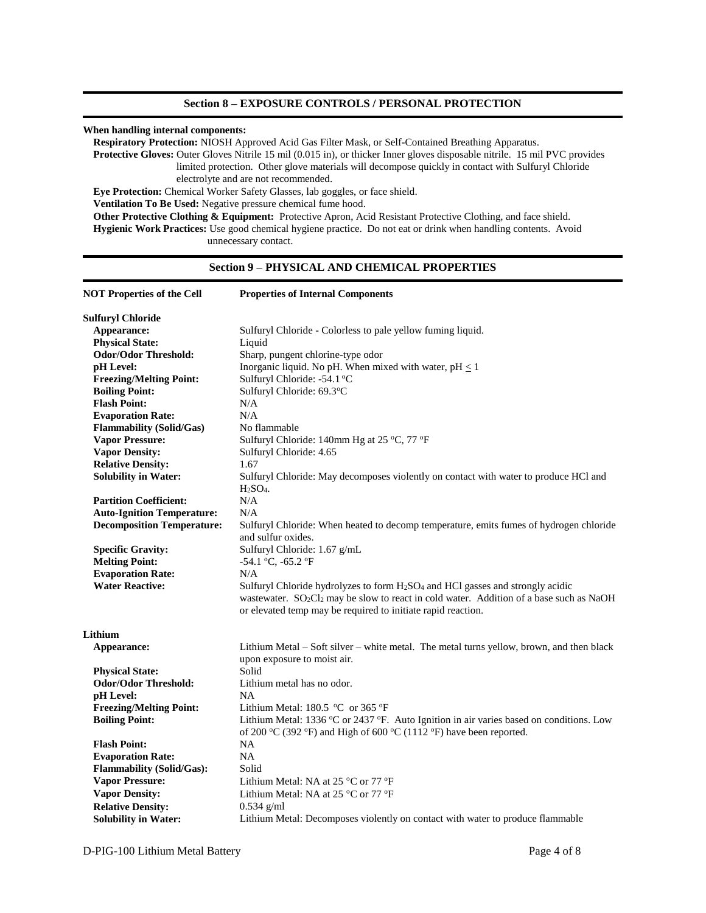#### **When handling internal components:**

**Respiratory Protection:** NIOSH Approved Acid Gas Filter Mask, or Self-Contained Breathing Apparatus.

**Protective Gloves:** Outer Gloves Nitrile 15 mil (0.015 in), or thicker Inner gloves disposable nitrile. 15 mil PVC provides limited protection. Other glove materials will decompose quickly in contact with Sulfuryl Chloride electrolyte and are not recommended.

**Eye Protection:** Chemical Worker Safety Glasses, lab goggles, or face shield.

**Ventilation To Be Used:** Negative pressure chemical fume hood.

**Other Protective Clothing & Equipment:** Protective Apron, Acid Resistant Protective Clothing, and face shield. **Hygienic Work Practices:** Use good chemical hygiene practice. Do not eat or drink when handling contents. Avoid unnecessary contact.

# **Section 9 – PHYSICAL AND CHEMICAL PROPERTIES**

| <b>NOT Properties of the Cell</b> | <b>Properties of Internal Components</b>                                                                        |  |
|-----------------------------------|-----------------------------------------------------------------------------------------------------------------|--|
| <b>Sulfuryl Chloride</b>          |                                                                                                                 |  |
| Appearance:                       | Sulfuryl Chloride - Colorless to pale yellow fuming liquid.                                                     |  |
| <b>Physical State:</b>            | Liquid                                                                                                          |  |
| <b>Odor/Odor Threshold:</b>       | Sharp, pungent chlorine-type odor                                                                               |  |
| pH Level:                         | Inorganic liquid. No pH. When mixed with water, $pH \leq 1$                                                     |  |
| <b>Freezing/Melting Point:</b>    | Sulfuryl Chloride: -54.1 °C                                                                                     |  |
| <b>Boiling Point:</b>             | Sulfuryl Chloride: 69.3°C                                                                                       |  |
| <b>Flash Point:</b>               | N/A                                                                                                             |  |
| <b>Evaporation Rate:</b>          | N/A                                                                                                             |  |
| <b>Flammability (Solid/Gas)</b>   | No flammable                                                                                                    |  |
| <b>Vapor Pressure:</b>            | Sulfuryl Chloride: 140mm Hg at 25 °C, 77 °F                                                                     |  |
| <b>Vapor Density:</b>             | Sulfuryl Chloride: 4.65                                                                                         |  |
| <b>Relative Density:</b>          | 1.67                                                                                                            |  |
| <b>Solubility in Water:</b>       | Sulfuryl Chloride: May decomposes violently on contact with water to produce HCl and                            |  |
|                                   | $H2SO4$ .                                                                                                       |  |
| <b>Partition Coefficient:</b>     | N/A                                                                                                             |  |
| <b>Auto-Ignition Temperature:</b> | N/A                                                                                                             |  |
| <b>Decomposition Temperature:</b> | Sulfuryl Chloride: When heated to decomp temperature, emits fumes of hydrogen chloride                          |  |
|                                   | and sulfur oxides.                                                                                              |  |
| <b>Specific Gravity:</b>          | Sulfuryl Chloride: 1.67 g/mL                                                                                    |  |
| <b>Melting Point:</b>             | -54.1 °C, -65.2 °F                                                                                              |  |
| <b>Evaporation Rate:</b>          | N/A                                                                                                             |  |
| <b>Water Reactive:</b>            | Sulfuryl Chloride hydrolyzes to form H <sub>2</sub> SO <sub>4</sub> and HCl gasses and strongly acidic          |  |
|                                   | wastewater. SO <sub>2</sub> Cl <sub>2</sub> may be slow to react in cold water. Addition of a base such as NaOH |  |
|                                   | or elevated temp may be required to initiate rapid reaction.                                                    |  |
| Lithium                           |                                                                                                                 |  |
| Appearance:                       | Lithium Metal – Soft silver – white metal. The metal turns yellow, brown, and then black                        |  |
|                                   | upon exposure to moist air.                                                                                     |  |
| <b>Physical State:</b>            | Solid                                                                                                           |  |
| <b>Odor/Odor Threshold:</b>       | Lithium metal has no odor.                                                                                      |  |
| pH Level:                         | <b>NA</b>                                                                                                       |  |
| <b>Freezing/Melting Point:</b>    | Lithium Metal: 180.5 $\,^{\circ}\text{C}$ or 365 $\,^{\circ}\text{F}$                                           |  |
| <b>Boiling Point:</b>             | Lithium Metal: 1336 °C or 2437 °F. Auto Ignition in air varies based on conditions. Low                         |  |
|                                   | of 200 °C (392 °F) and High of 600 °C (1112 °F) have been reported.                                             |  |
| <b>Flash Point:</b>               | NA                                                                                                              |  |
| <b>Evaporation Rate:</b>          | NA                                                                                                              |  |
| <b>Flammability (Solid/Gas):</b>  | Solid                                                                                                           |  |
| <b>Vapor Pressure:</b>            | Lithium Metal: NA at 25 $^{\circ}$ C or 77 $^{\circ}$ F                                                         |  |
| <b>Vapor Density:</b>             | Lithium Metal: NA at 25 °C or 77 °F                                                                             |  |
| <b>Relative Density:</b>          | $0.534$ g/ml                                                                                                    |  |
| <b>Solubility in Water:</b>       | Lithium Metal: Decomposes violently on contact with water to produce flammable                                  |  |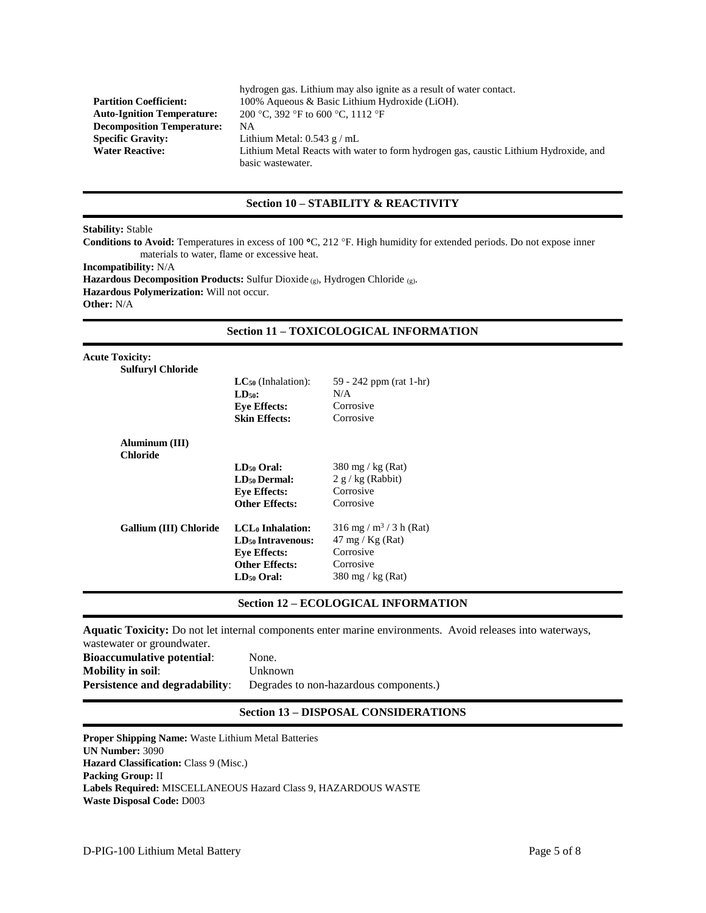|                                   | hydrogen gas. Lithium may also ignite as a result of water contact.                  |
|-----------------------------------|--------------------------------------------------------------------------------------|
| <b>Partition Coefficient:</b>     | 100% Aqueous & Basic Lithium Hydroxide (LiOH).                                       |
| <b>Auto-Ignition Temperature:</b> | 200 °C, 392 °F to 600 °C, 1112 °F                                                    |
| <b>Decomposition Temperature:</b> | NА                                                                                   |
| <b>Specific Gravity:</b>          | Lithium Metal: $0.543$ g / mL                                                        |
| <b>Water Reactive:</b>            | Lithium Metal Reacts with water to form hydrogen gas, caustic Lithium Hydroxide, and |
|                                   | basic wastewater.                                                                    |

# **Section 10 – STABILITY & REACTIVITY**

# **Stability:** Stable

**Conditions to Avoid:** Temperatures in excess of 100 °C, 212 °F. High humidity for extended periods. Do not expose inner materials to water, flame or excessive heat.

**Incompatibility:** N/A

**Hazardous Decomposition Products:** Sulfur Dioxide (g), Hydrogen Chloride (g).

**Hazardous Polymerization:** Will not occur.

**Other:** N/A

# **Section 11 – TOXICOLOGICAL INFORMATION**

| $LC_{50}$ (Inhalation):             | 59 - 242 ppm (rat 1-hr)               |
|-------------------------------------|---------------------------------------|
| $LD50$ :                            | N/A                                   |
| <b>Eye Effects:</b>                 | Corrosive                             |
| <b>Skin Effects:</b>                | Corrosive                             |
|                                     |                                       |
|                                     |                                       |
| $LD50$ Oral:                        | 380 mg / kg (Rat)                     |
| <b>LD<sub>50</sub></b> Dermal:      | $2 g/kg$ (Rabbit)                     |
| <b>Eye Effects:</b>                 | Corrosive                             |
| <b>Other Effects:</b>               | Corrosive                             |
| <b>LCL</b> <sub>0</sub> Inhalation: | $316$ mg / m <sup>3</sup> / 3 h (Rat) |
| LD <sub>50</sub> Intravenous:       | $47 \text{ mg} / \text{Kg}$ (Rat)     |
| <b>Eye Effects:</b>                 | Corrosive                             |
| <b>Other Effects:</b>               | Corrosive                             |
| $LD_{50}$ Oral:                     | $380 \text{ mg}$ / kg (Rat)           |
|                                     |                                       |

# **Section 12 – ECOLOGICAL INFORMATION**

**Aquatic Toxicity:** Do not let internal components enter marine environments. Avoid releases into waterways,

| was tewater or groundwater.           |                                        |
|---------------------------------------|----------------------------------------|
| <b>Bioaccumulative potential:</b>     | None.                                  |
| <b>Mobility in soil:</b>              | Unknown                                |
| <b>Persistence and degradability:</b> | Degrades to non-hazardous components.) |

# **Section 13 – DISPOSAL CONSIDERATIONS**

**Proper Shipping Name:** Waste Lithium Metal Batteries **UN Number:** 3090 **Hazard Classification: Class 9 (Misc.) Packing Group:** II **Labels Required:** MISCELLANEOUS Hazard Class 9, HAZARDOUS WASTE **Waste Disposal Code:** D003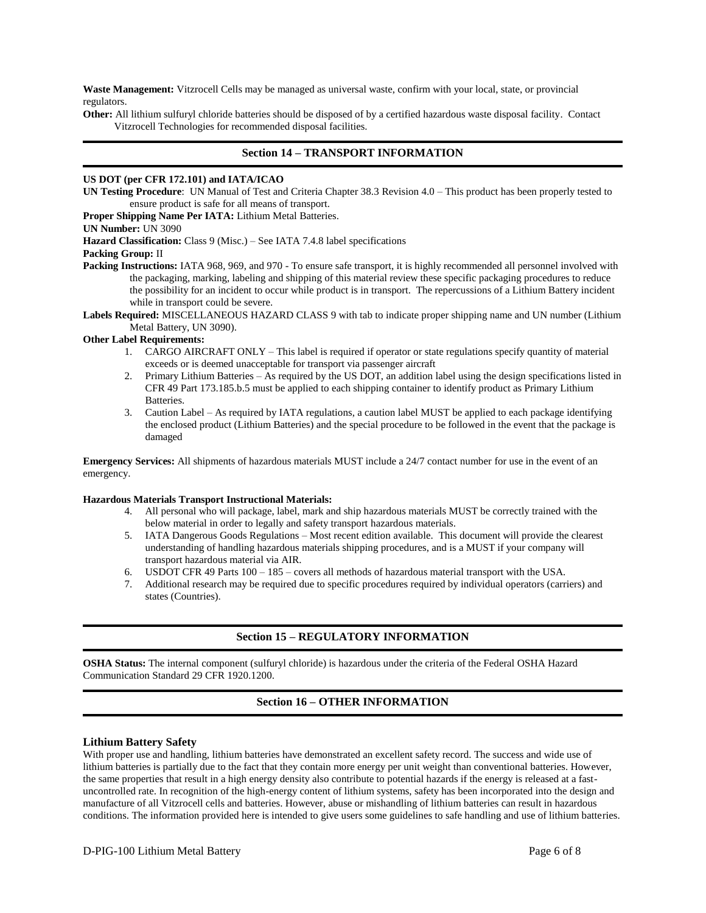**Waste Management:** Vitzrocell Cells may be managed as universal waste, confirm with your local, state, or provincial regulators.

**Other:** All lithium sulfuryl chloride batteries should be disposed of by a certified hazardous waste disposal facility. Contact Vitzrocell Technologies for recommended disposal facilities.

# **Section 14 – TRANSPORT INFORMATION**

#### **US DOT (per CFR 172.101) and IATA/ICAO**

**UN Testing Procedure**: UN Manual of Test and Criteria Chapter 38.3 Revision 4.0 – This product has been properly tested to ensure product is safe for all means of transport.

**Proper Shipping Name Per IATA:** Lithium Metal Batteries.

#### **UN Number:** UN 3090

**Hazard Classification:** Class 9 (Misc.) – See IATA 7.4.8 label specifications

# **Packing Group:** II

Packing Instructions: IATA 968, 969, and 970 - To ensure safe transport, it is highly recommended all personnel involved with the packaging, marking, labeling and shipping of this material review these specific packaging procedures to reduce the possibility for an incident to occur while product is in transport. The repercussions of a Lithium Battery incident while in transport could be severe.

**Labels Required:** MISCELLANEOUS HAZARD CLASS 9 with tab to indicate proper shipping name and UN number (Lithium Metal Battery, UN 3090).

#### **Other Label Requirements:**

- 1. CARGO AIRCRAFT ONLY This label is required if operator or state regulations specify quantity of material exceeds or is deemed unacceptable for transport via passenger aircraft
- 2. Primary Lithium Batteries As required by the US DOT, an addition label using the design specifications listed in CFR 49 Part 173.185.b.5 must be applied to each shipping container to identify product as Primary Lithium Batteries.
- 3. Caution Label As required by IATA regulations, a caution label MUST be applied to each package identifying the enclosed product (Lithium Batteries) and the special procedure to be followed in the event that the package is damaged

**Emergency Services:** All shipments of hazardous materials MUST include a 24/7 contact number for use in the event of an emergency.

#### **Hazardous Materials Transport Instructional Materials:**

- 4. All personal who will package, label, mark and ship hazardous materials MUST be correctly trained with the below material in order to legally and safety transport hazardous materials.
- 5. IATA Dangerous Goods Regulations Most recent edition available. This document will provide the clearest understanding of handling hazardous materials shipping procedures, and is a MUST if your company will transport hazardous material via AIR.
- 6. USDOT CFR 49 Parts 100 185 covers all methods of hazardous material transport with the USA.
- 7. Additional research may be required due to specific procedures required by individual operators (carriers) and states (Countries).

# **Section 15 – REGULATORY INFORMATION**

**OSHA Status:** The internal component (sulfuryl chloride) is hazardous under the criteria of the Federal OSHA Hazard Communication Standard 29 CFR 1920.1200.

# **Section 16 – OTHER INFORMATION**

#### **Lithium Battery Safety**

With proper use and handling, lithium batteries have demonstrated an excellent safety record. The success and wide use of lithium batteries is partially due to the fact that they contain more energy per unit weight than conventional batteries. However, the same properties that result in a high energy density also contribute to potential hazards if the energy is released at a fastuncontrolled rate. In recognition of the high-energy content of lithium systems, safety has been incorporated into the design and manufacture of all Vitzrocell cells and batteries. However, abuse or mishandling of lithium batteries can result in hazardous conditions. The information provided here is intended to give users some guidelines to safe handling and use of lithium batteries.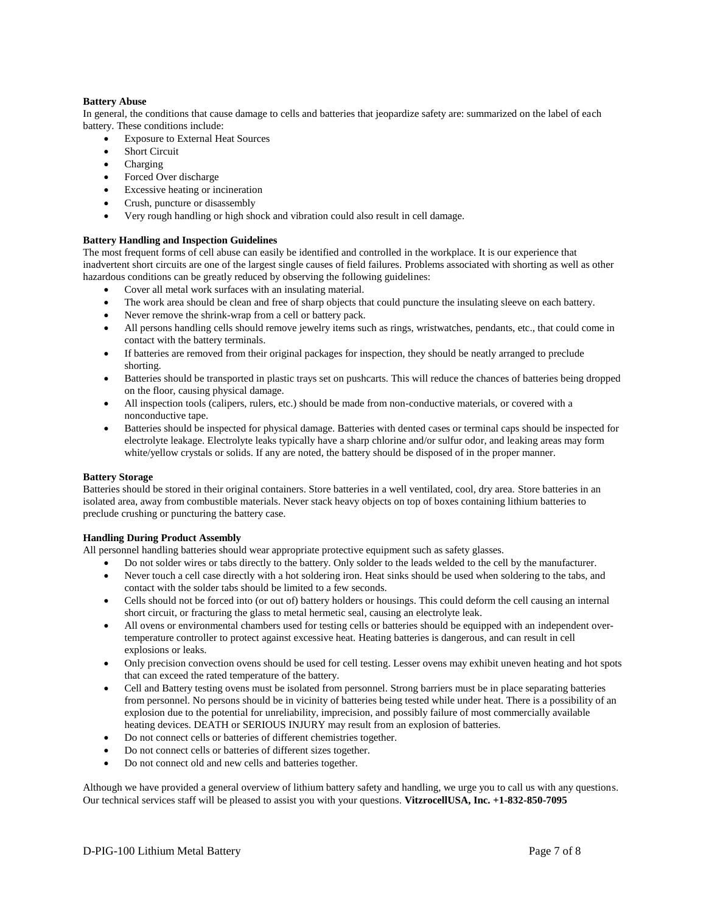# **Battery Abuse**

In general, the conditions that cause damage to cells and batteries that jeopardize safety are: summarized on the label of each battery. These conditions include:

- Exposure to External Heat Sources
- Short Circuit
- Charging
- Forced Over discharge
- Excessive heating or incineration
- Crush, puncture or disassembly
- Very rough handling or high shock and vibration could also result in cell damage.

#### **Battery Handling and Inspection Guidelines**

The most frequent forms of cell abuse can easily be identified and controlled in the workplace. It is our experience that inadvertent short circuits are one of the largest single causes of field failures. Problems associated with shorting as well as other hazardous conditions can be greatly reduced by observing the following guidelines:

- Cover all metal work surfaces with an insulating material.
- The work area should be clean and free of sharp objects that could puncture the insulating sleeve on each battery.
- Never remove the shrink-wrap from a cell or battery pack.
- All persons handling cells should remove jewelry items such as rings, wristwatches, pendants, etc., that could come in contact with the battery terminals.
- If batteries are removed from their original packages for inspection, they should be neatly arranged to preclude shorting.
- Batteries should be transported in plastic trays set on pushcarts. This will reduce the chances of batteries being dropped on the floor, causing physical damage.
- All inspection tools (calipers, rulers, etc.) should be made from non-conductive materials, or covered with a nonconductive tape.
- Batteries should be inspected for physical damage. Batteries with dented cases or terminal caps should be inspected for electrolyte leakage. Electrolyte leaks typically have a sharp chlorine and/or sulfur odor, and leaking areas may form white/yellow crystals or solids. If any are noted, the battery should be disposed of in the proper manner.

#### **Battery Storage**

Batteries should be stored in their original containers. Store batteries in a well ventilated, cool, dry area. Store batteries in an isolated area, away from combustible materials. Never stack heavy objects on top of boxes containing lithium batteries to preclude crushing or puncturing the battery case.

#### **Handling During Product Assembly**

All personnel handling batteries should wear appropriate protective equipment such as safety glasses.

- Do not solder wires or tabs directly to the battery. Only solder to the leads welded to the cell by the manufacturer.
- Never touch a cell case directly with a hot soldering iron. Heat sinks should be used when soldering to the tabs, and contact with the solder tabs should be limited to a few seconds.
- Cells should not be forced into (or out of) battery holders or housings. This could deform the cell causing an internal short circuit, or fracturing the glass to metal hermetic seal, causing an electrolyte leak.
- All ovens or environmental chambers used for testing cells or batteries should be equipped with an independent overtemperature controller to protect against excessive heat. Heating batteries is dangerous, and can result in cell explosions or leaks.
- Only precision convection ovens should be used for cell testing. Lesser ovens may exhibit uneven heating and hot spots that can exceed the rated temperature of the battery.
- Cell and Battery testing ovens must be isolated from personnel. Strong barriers must be in place separating batteries from personnel. No persons should be in vicinity of batteries being tested while under heat. There is a possibility of an explosion due to the potential for unreliability, imprecision, and possibly failure of most commercially available heating devices. DEATH or SERIOUS INJURY may result from an explosion of batteries.
- Do not connect cells or batteries of different chemistries together.
- Do not connect cells or batteries of different sizes together.
- Do not connect old and new cells and batteries together.

Although we have provided a general overview of lithium battery safety and handling, we urge you to call us with any questions. Our technical services staff will be pleased to assist you with your questions. **VitzrocellUSA, Inc. +1-832-850-7095**